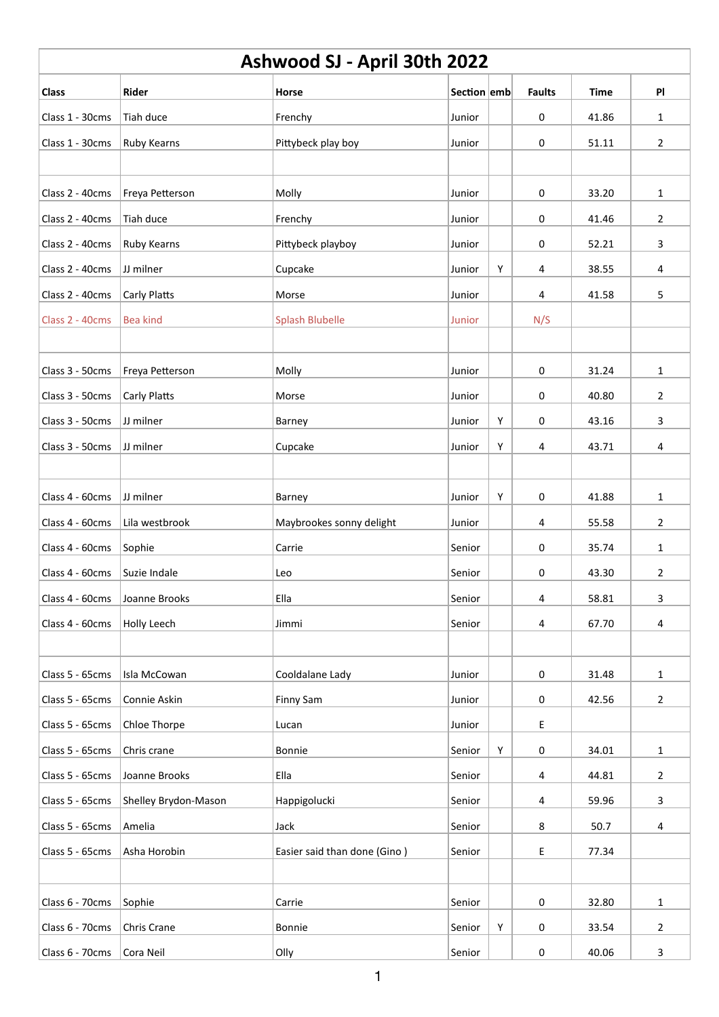| Ashwood SJ - April 30th 2022 |                      |                              |             |   |               |             |                |  |  |  |
|------------------------------|----------------------|------------------------------|-------------|---|---------------|-------------|----------------|--|--|--|
| <b>Class</b>                 | Rider                | Horse                        | Section emb |   | <b>Faults</b> | <b>Time</b> | PI             |  |  |  |
| Class 1 - 30cms              | Tiah duce            | Frenchy                      | Junior      |   | 0             | 41.86       | $\mathbf{1}$   |  |  |  |
| Class 1 - 30cms              | Ruby Kearns          | Pittybeck play boy           | Junior      |   | $\mathbf 0$   | 51.11       | $\overline{2}$ |  |  |  |
|                              |                      |                              |             |   |               |             |                |  |  |  |
| Class 2 - 40cms              | Freya Petterson      | Molly                        | Junior      |   | $\mathbf 0$   | 33.20       | $\mathbf 1$    |  |  |  |
| Class 2 - 40cms              | Tiah duce            | Frenchy                      | Junior      |   | 0             | 41.46       | $\overline{2}$ |  |  |  |
| Class 2 - 40cms              | Ruby Kearns          | Pittybeck playboy            | Junior      |   | 0             | 52.21       | 3              |  |  |  |
| Class 2 - 40cms              | JJ milner            | Cupcake                      | Junior      | Y | 4             | 38.55       | 4              |  |  |  |
| Class 2 - 40cms              | Carly Platts         | Morse                        | Junior      |   | 4             | 41.58       | 5              |  |  |  |
| Class 2 - 40cms              | <b>Bea kind</b>      | <b>Splash Blubelle</b>       | Junior      |   | N/S           |             |                |  |  |  |
|                              |                      |                              |             |   |               |             |                |  |  |  |
| Class 3 - 50cms              | Freya Petterson      | Molly                        | Junior      |   | 0             | 31.24       | $\mathbf{1}$   |  |  |  |
| Class 3 - 50cms              | Carly Platts         | Morse                        | Junior      |   | 0             | 40.80       | $\overline{2}$ |  |  |  |
| Class 3 - 50cms              | JJ milner            | <b>Barney</b>                | Junior      | Υ | 0             | 43.16       | 3              |  |  |  |
| Class 3 - 50cms              | JJ milner            | Cupcake                      | Junior      | Υ | 4             | 43.71       | 4              |  |  |  |
|                              |                      |                              |             |   |               |             |                |  |  |  |
| Class 4 - 60cms              | JJ milner            | <b>Barney</b>                | Junior      | Υ | 0             | 41.88       | $\mathbf{1}$   |  |  |  |
| Class 4 - 60cms              | Lila westbrook       | Maybrookes sonny delight     | Junior      |   | 4             | 55.58       | $\overline{2}$ |  |  |  |
| Class 4 - 60cms              | Sophie               | Carrie                       | Senior      |   | 0             | 35.74       | $\mathbf{1}$   |  |  |  |
| Class 4 - 60cms              | Suzie Indale         | Leo                          | Senior      |   | $\mathbf 0$   | 43.30       | $\overline{2}$ |  |  |  |
| Class 4 - 60cms              | Joanne Brooks        | Ella                         | Senior      |   | 4             | 58.81       | 3              |  |  |  |
| Class 4 - 60cms              | Holly Leech          | Jimmi                        | Senior      |   | 4             | 67.70       | 4              |  |  |  |
|                              |                      |                              |             |   |               |             |                |  |  |  |
| Class 5 - 65cms              | Isla McCowan         | Cooldalane Lady              | Junior      |   | $\mathbf 0$   | 31.48       | $\mathbf{1}$   |  |  |  |
| Class 5 - 65cms              | Connie Askin         | Finny Sam                    | Junior      |   | $\mathbf 0$   | 42.56       | $\overline{2}$ |  |  |  |
| Class 5 - 65cms              | Chloe Thorpe         | Lucan                        | Junior      |   | E             |             |                |  |  |  |
| Class 5 - 65cms              | Chris crane          | <b>Bonnie</b>                | Senior      | Υ | 0             | 34.01       | $\mathbf{1}$   |  |  |  |
| Class 5 - 65cms              | Joanne Brooks        | Ella                         | Senior      |   | 4             | 44.81       | $\overline{2}$ |  |  |  |
| Class 5 - 65cms              | Shelley Brydon-Mason | Happigolucki                 | Senior      |   | 4             | 59.96       | 3              |  |  |  |
| Class 5 - 65cms              | Amelia               | Jack                         | Senior      |   | 8             | 50.7        | 4              |  |  |  |
| Class 5 - 65cms              | Asha Horobin         | Easier said than done (Gino) | Senior      |   | E             | 77.34       |                |  |  |  |
|                              |                      |                              |             |   |               |             |                |  |  |  |
| Class 6 - 70cms              | Sophie               | Carrie                       | Senior      |   | 0             | 32.80       | $\mathbf{1}$   |  |  |  |
| Class 6 - 70cms              | Chris Crane          | <b>Bonnie</b>                | Senior      | Y | $\mathbf 0$   | 33.54       | $\overline{2}$ |  |  |  |
| Class 6 - 70cms              | Cora Neil            | Olly                         | Senior      |   | $\mathbf 0$   | 40.06       | 3              |  |  |  |